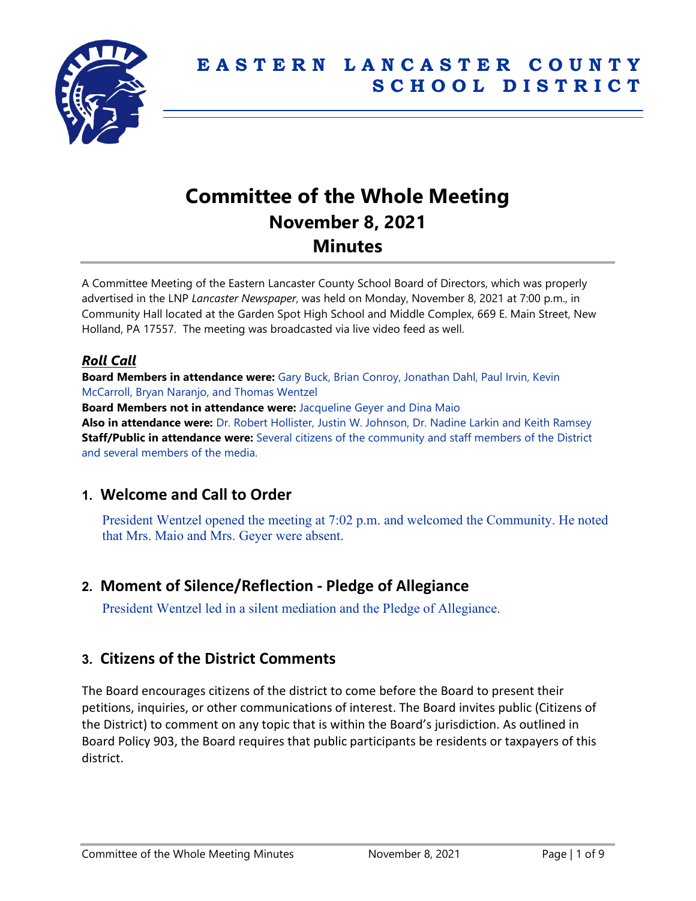

# **Committee of the Whole Meeting November 8, 2021 Minutes**

A Committee Meeting of the Eastern Lancaster County School Board of Directors, which was properly advertised in the LNP *Lancaster Newspaper*, was held on Monday, November 8, 2021 at 7:00 p.m., in Community Hall located at the Garden Spot High School and Middle Complex, 669 E. Main Street, New Holland, PA 17557. The meeting was broadcasted via live video feed as well.

# *Roll Call*

**Board Members in attendance were:** Gary Buck, Brian Conroy, Jonathan Dahl, Paul Irvin, Kevin McCarroll, Bryan Naranjo, and Thomas Wentzel **Board Members not in attendance were:** Jacqueline Geyer and Dina Maio **Also in attendance were:** Dr. Robert Hollister, Justin W. Johnson, Dr. Nadine Larkin and Keith Ramsey **Staff/Public in attendance were:** Several citizens of the community and staff members of the District and several members of the media.

# **1. Welcome and Call to Order**

President Wentzel opened the meeting at 7:02 p.m. and welcomed the Community. He noted that Mrs. Maio and Mrs. Geyer were absent.

# **2. Moment of Silence/Reflection - Pledge of Allegiance**

President Wentzel led in a silent mediation and the Pledge of Allegiance.

# **3. Citizens of the District Comments**

The Board encourages citizens of the district to come before the Board to present their petitions, inquiries, or other communications of interest. The Board invites public (Citizens of the District) to comment on any topic that is within the Board's jurisdiction. As outlined in Board Policy 903, the Board requires that public participants be residents or taxpayers of this district.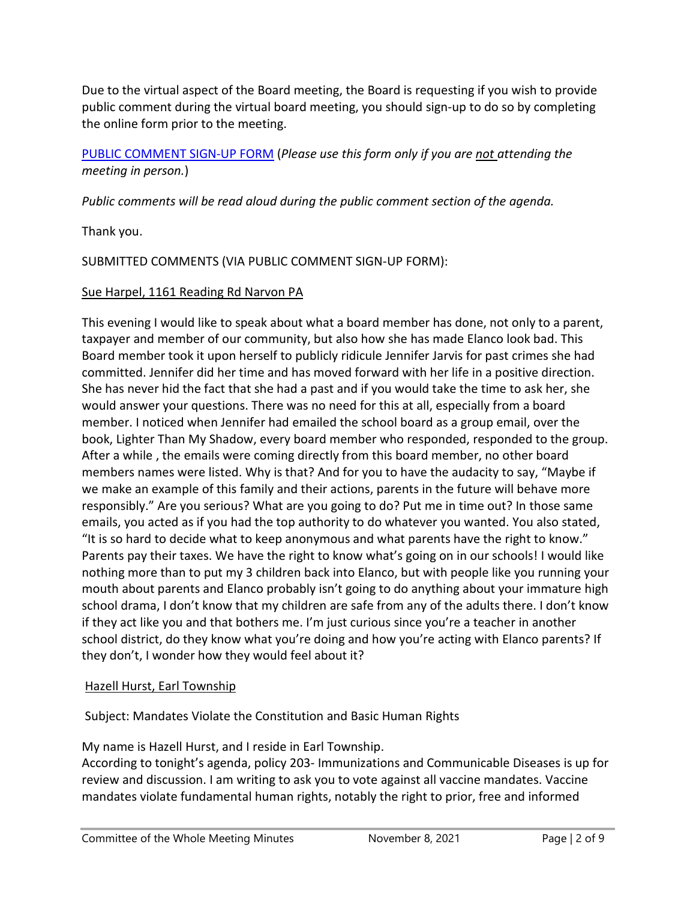Due to the virtual aspect of the Board meeting, the Board is requesting if you wish to provide public comment during the virtual board meeting, you should sign-up to do so by completing the online form prior to the meeting.

## [PUBLIC COMMENT SIGN-UP FORM](https://forms.gle/zDXXoX8rZQUxt1Ap6) (*Please use this form only if you are not attending the meeting in person.*)

*Public comments will be read aloud during the public comment section of the agenda.*

Thank you.

SUBMITTED COMMENTS (VIA PUBLIC COMMENT SIGN-UP FORM):

#### Sue Harpel, 1161 Reading Rd Narvon PA

This evening I would like to speak about what a board member has done, not only to a parent, taxpayer and member of our community, but also how she has made Elanco look bad. This Board member took it upon herself to publicly ridicule Jennifer Jarvis for past crimes she had committed. Jennifer did her time and has moved forward with her life in a positive direction. She has never hid the fact that she had a past and if you would take the time to ask her, she would answer your questions. There was no need for this at all, especially from a board member. I noticed when Jennifer had emailed the school board as a group email, over the book, Lighter Than My Shadow, every board member who responded, responded to the group. After a while , the emails were coming directly from this board member, no other board members names were listed. Why is that? And for you to have the audacity to say, "Maybe if we make an example of this family and their actions, parents in the future will behave more responsibly." Are you serious? What are you going to do? Put me in time out? In those same emails, you acted as if you had the top authority to do whatever you wanted. You also stated, "It is so hard to decide what to keep anonymous and what parents have the right to know." Parents pay their taxes. We have the right to know what's going on in our schools! I would like nothing more than to put my 3 children back into Elanco, but with people like you running your mouth about parents and Elanco probably isn't going to do anything about your immature high school drama, I don't know that my children are safe from any of the adults there. I don't know if they act like you and that bothers me. I'm just curious since you're a teacher in another school district, do they know what you're doing and how you're acting with Elanco parents? If they don't, I wonder how they would feel about it?

#### Hazell Hurst, Earl Township

Subject: Mandates Violate the Constitution and Basic Human Rights

My name is Hazell Hurst, and I reside in Earl Township.

According to tonight's agenda, policy 203- Immunizations and Communicable Diseases is up for review and discussion. I am writing to ask you to vote against all vaccine mandates. Vaccine mandates violate fundamental human rights, notably the right to prior, free and informed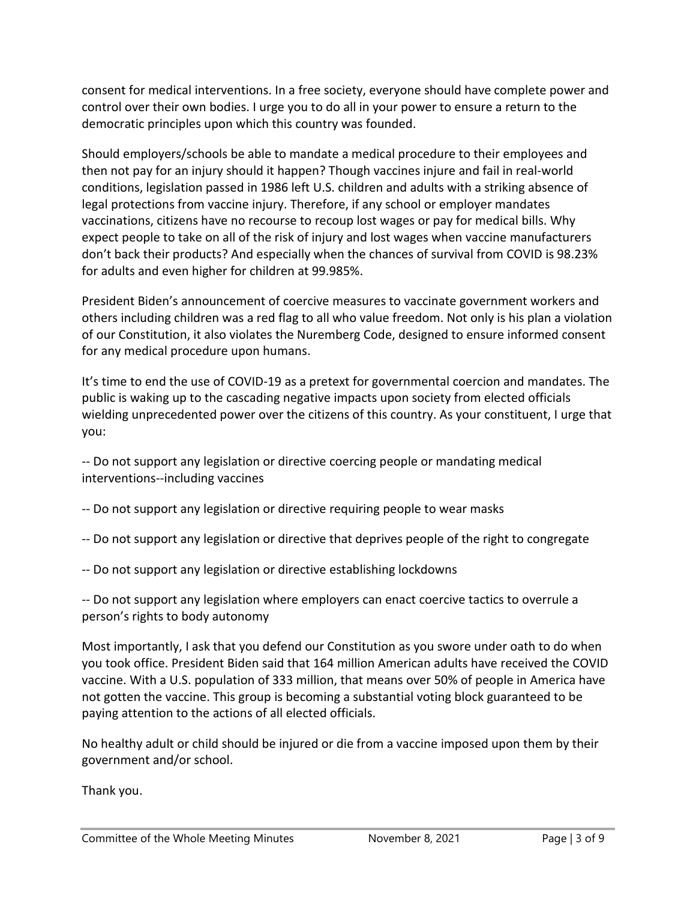consent for medical interventions. In a free society, everyone should have complete power and control over their own bodies. I urge you to do all in your power to ensure a return to the democratic principles upon which this country was founded.

Should employers/schools be able to mandate a medical procedure to their employees and then not pay for an injury should it happen? Though vaccines injure and fail in real-world conditions, legislation passed in 1986 left U.S. children and adults with a striking absence of legal protections from vaccine injury. Therefore, if any school or employer mandates vaccinations, citizens have no recourse to recoup lost wages or pay for medical bills. Why expect people to take on all of the risk of injury and lost wages when vaccine manufacturers don't back their products? And especially when the chances of survival from COVID is 98.23% for adults and even higher for children at 99.985%.

President Biden's announcement of coercive measures to vaccinate government workers and others including children was a red flag to all who value freedom. Not only is his plan a violation of our Constitution, it also violates the Nuremberg Code, designed to ensure informed consent for any medical procedure upon humans.

It's time to end the use of COVID-19 as a pretext for governmental coercion and mandates. The public is waking up to the cascading negative impacts upon society from elected officials wielding unprecedented power over the citizens of this country. As your constituent, I urge that you:

-- Do not support any legislation or directive coercing people or mandating medical interventions--including vaccines

-- Do not support any legislation or directive requiring people to wear masks

- -- Do not support any legislation or directive that deprives people of the right to congregate
- -- Do not support any legislation or directive establishing lockdowns

-- Do not support any legislation where employers can enact coercive tactics to overrule a person's rights to body autonomy

Most importantly, I ask that you defend our Constitution as you swore under oath to do when you took office. President Biden said that 164 million American adults have received the COVID vaccine. With a U.S. population of 333 million, that means over 50% of people in America have not gotten the vaccine. This group is becoming a substantial voting block guaranteed to be paying attention to the actions of all elected officials.

No healthy adult or child should be injured or die from a vaccine imposed upon them by their government and/or school.

Thank you.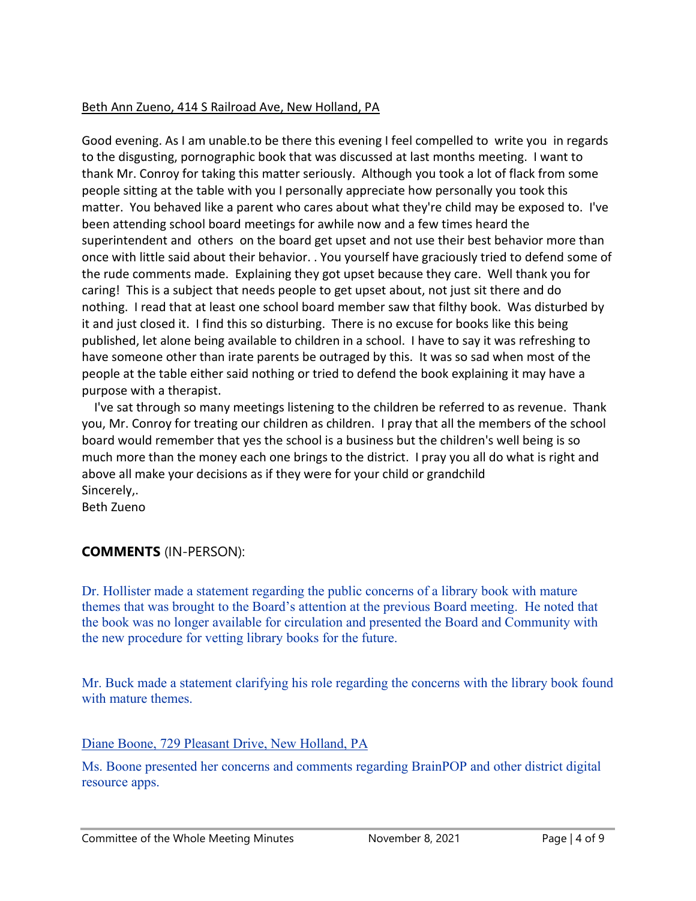#### Beth Ann Zueno, 414 S Railroad Ave, New Holland, PA

Good evening. As I am unable.to be there this evening I feel compelled to write you in regards to the disgusting, pornographic book that was discussed at last months meeting. I want to thank Mr. Conroy for taking this matter seriously. Although you took a lot of flack from some people sitting at the table with you I personally appreciate how personally you took this matter. You behaved like a parent who cares about what they're child may be exposed to. I've been attending school board meetings for awhile now and a few times heard the superintendent and others on the board get upset and not use their best behavior more than once with little said about their behavior. . You yourself have graciously tried to defend some of the rude comments made. Explaining they got upset because they care. Well thank you for caring! This is a subject that needs people to get upset about, not just sit there and do nothing. I read that at least one school board member saw that filthy book. Was disturbed by it and just closed it. I find this so disturbing. There is no excuse for books like this being published, let alone being available to children in a school. I have to say it was refreshing to have someone other than irate parents be outraged by this. It was so sad when most of the people at the table either said nothing or tried to defend the book explaining it may have a purpose with a therapist.

I've sat through so many meetings listening to the children be referred to as revenue. Thank you, Mr. Conroy for treating our children as children. I pray that all the members of the school board would remember that yes the school is a business but the children's well being is so much more than the money each one brings to the district. I pray you all do what is right and above all make your decisions as if they were for your child or grandchild Sincerely,.

Beth Zueno

## **COMMENTS** (IN-PERSON):

Dr. Hollister made a statement regarding the public concerns of a library book with mature themes that was brought to the Board's attention at the previous Board meeting. He noted that the book was no longer available for circulation and presented the Board and Community with the new procedure for vetting library books for the future.

Mr. Buck made a statement clarifying his role regarding the concerns with the library book found with mature themes.

#### Diane Boone, 729 Pleasant Drive, New Holland, PA

Ms. Boone presented her concerns and comments regarding BrainPOP and other district digital resource apps.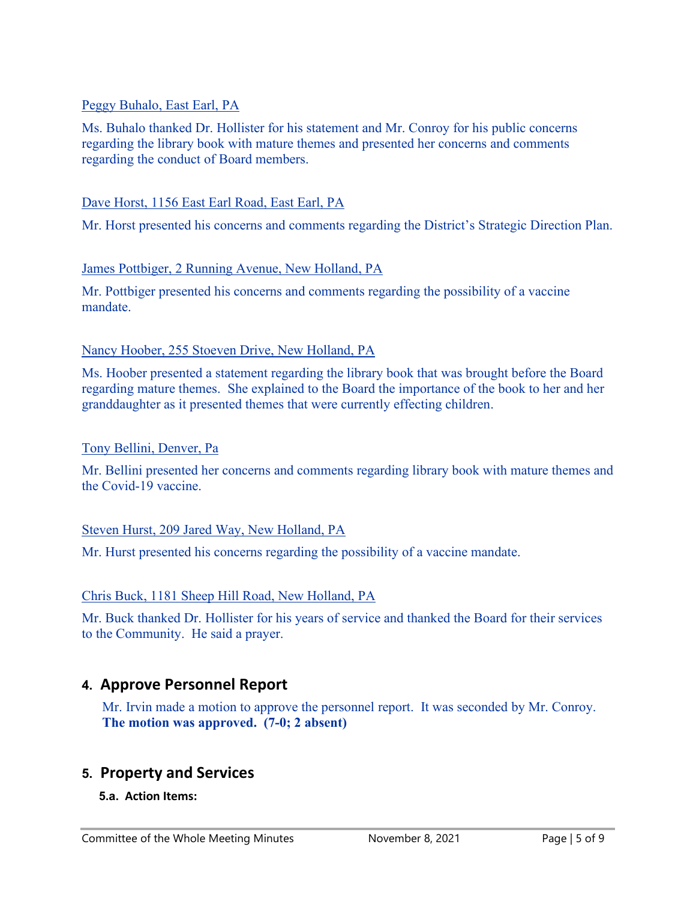### Peggy Buhalo, East Earl, PA

Ms. Buhalo thanked Dr. Hollister for his statement and Mr. Conroy for his public concerns regarding the library book with mature themes and presented her concerns and comments regarding the conduct of Board members.

#### Dave Horst, 1156 East Earl Road, East Earl, PA

Mr. Horst presented his concerns and comments regarding the District's Strategic Direction Plan.

#### James Pottbiger, 2 Running Avenue, New Holland, PA

Mr. Pottbiger presented his concerns and comments regarding the possibility of a vaccine mandate.

#### Nancy Hoober, 255 Stoeven Drive, New Holland, PA

Ms. Hoober presented a statement regarding the library book that was brought before the Board regarding mature themes. She explained to the Board the importance of the book to her and her granddaughter as it presented themes that were currently effecting children.

#### Tony Bellini, Denver, Pa

Mr. Bellini presented her concerns and comments regarding library book with mature themes and the Covid-19 vaccine.

#### Steven Hurst, 209 Jared Way, New Holland, PA

Mr. Hurst presented his concerns regarding the possibility of a vaccine mandate.

#### Chris Buck, 1181 Sheep Hill Road, New Holland, PA

Mr. Buck thanked Dr. Hollister for his years of service and thanked the Board for their services to the Community. He said a prayer.

# **4. Approve Personnel Report**

Mr. Irvin made a motion to approve the personnel report. It was seconded by Mr. Conroy. **The motion was approved. (7-0; 2 absent)**

# **5. Property and Services**

#### **5.a. Action Items:**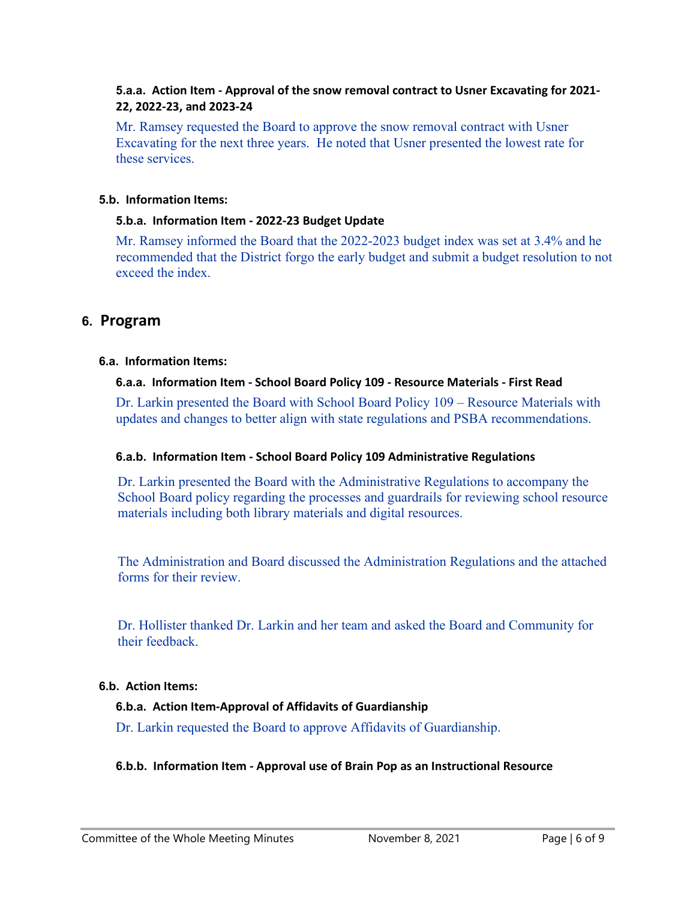#### **5.a.a. Action Item - Approval of the snow removal contract to Usner Excavating for 2021- 22, 2022-23, and 2023-24**

Mr. Ramsey requested the Board to approve the snow removal contract with Usner Excavating for the next three years. He noted that Usner presented the lowest rate for these services.

#### **5.b. Information Items:**

#### **5.b.a. Information Item - 2022-23 Budget Update**

Mr. Ramsey informed the Board that the 2022-2023 budget index was set at 3.4% and he recommended that the District forgo the early budget and submit a budget resolution to not exceed the index.

### **6. Program**

#### **6.a. Information Items:**

#### **6.a.a. Information Item - School Board Policy 109 - Resource Materials - First Read**

Dr. Larkin presented the Board with School Board Policy 109 – Resource Materials with updates and changes to better align with state regulations and PSBA recommendations.

#### **6.a.b. Information Item - School Board Policy 109 Administrative Regulations**

Dr. Larkin presented the Board with the Administrative Regulations to accompany the School Board policy regarding the processes and guardrails for reviewing school resource materials including both library materials and digital resources.

The Administration and Board discussed the Administration Regulations and the attached forms for their review.

Dr. Hollister thanked Dr. Larkin and her team and asked the Board and Community for their feedback.

#### **6.b. Action Items:**

#### **6.b.a. Action Item-Approval of Affidavits of Guardianship**

Dr. Larkin requested the Board to approve Affidavits of Guardianship.

#### **6.b.b. Information Item - Approval use of Brain Pop as an Instructional Resource**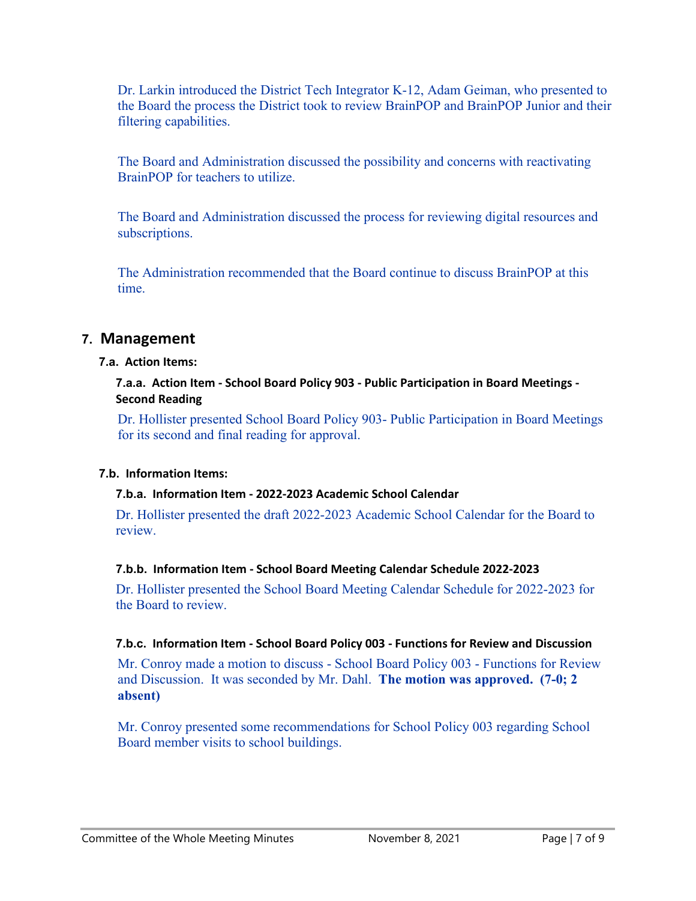Dr. Larkin introduced the District Tech Integrator K-12, Adam Geiman, who presented to the Board the process the District took to review BrainPOP and BrainPOP Junior and their filtering capabilities.

The Board and Administration discussed the possibility and concerns with reactivating BrainPOP for teachers to utilize.

The Board and Administration discussed the process for reviewing digital resources and subscriptions.

The Administration recommended that the Board continue to discuss BrainPOP at this time.

# **7. Management**

#### **7.a. Action Items:**

**7.a.a. Action Item - School Board Policy 903 - Public Participation in Board Meetings - Second Reading**

Dr. Hollister presented School Board Policy 903- Public Participation in Board Meetings for its second and final reading for approval.

#### **7.b. Information Items:**

#### **7.b.a. Information Item - 2022-2023 Academic School Calendar**

Dr. Hollister presented the draft 2022-2023 Academic School Calendar for the Board to review.

#### **7.b.b. Information Item - School Board Meeting Calendar Schedule 2022-2023**

Dr. Hollister presented the School Board Meeting Calendar Schedule for 2022-2023 for the Board to review.

#### **7.b.c. Information Item - School Board Policy 003 - Functions for Review and Discussion**

Mr. Conroy made a motion to discuss - School Board Policy 003 - Functions for Review and Discussion. It was seconded by Mr. Dahl. **The motion was approved. (7-0; 2 absent)**

Mr. Conroy presented some recommendations for School Policy 003 regarding School Board member visits to school buildings.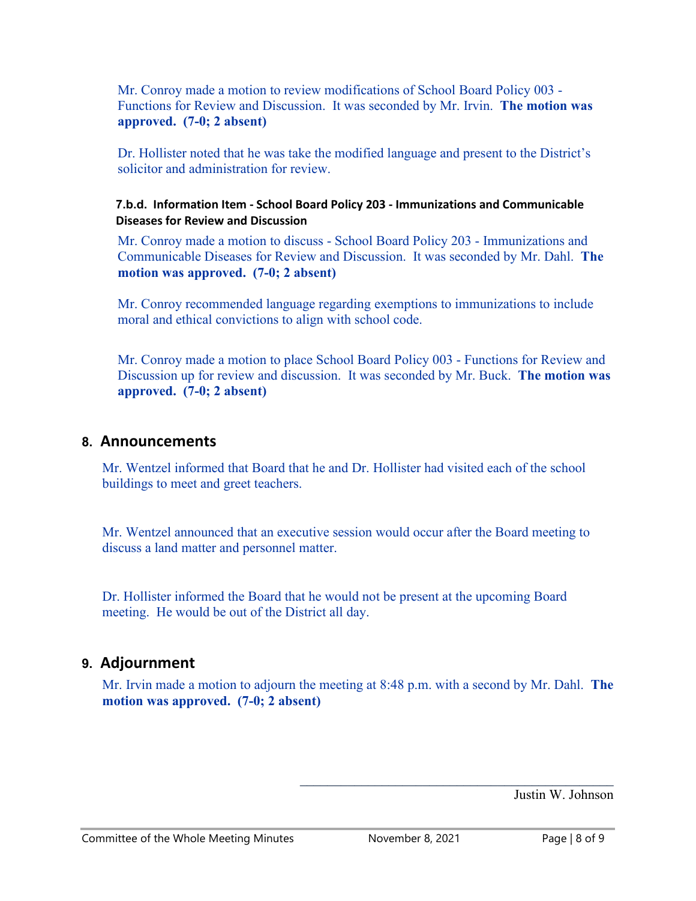Mr. Conroy made a motion to review modifications of School Board Policy 003 - Functions for Review and Discussion. It was seconded by Mr. Irvin. **The motion was approved. (7-0; 2 absent)**

Dr. Hollister noted that he was take the modified language and present to the District's solicitor and administration for review.

#### **7.b.d. Information Item - School Board Policy 203 - Immunizations and Communicable Diseases for Review and Discussion**

Mr. Conroy made a motion to discuss - School Board Policy 203 - Immunizations and Communicable Diseases for Review and Discussion. It was seconded by Mr. Dahl. **The motion was approved. (7-0; 2 absent)**

Mr. Conroy recommended language regarding exemptions to immunizations to include moral and ethical convictions to align with school code.

Mr. Conroy made a motion to place School Board Policy 003 - Functions for Review and Discussion up for review and discussion. It was seconded by Mr. Buck. **The motion was approved. (7-0; 2 absent)**

## **8. Announcements**

Mr. Wentzel informed that Board that he and Dr. Hollister had visited each of the school buildings to meet and greet teachers.

Mr. Wentzel announced that an executive session would occur after the Board meeting to discuss a land matter and personnel matter.

Dr. Hollister informed the Board that he would not be present at the upcoming Board meeting. He would be out of the District all day.

# **9. Adjournment**

Mr. Irvin made a motion to adjourn the meeting at 8:48 p.m. with a second by Mr. Dahl. **The motion was approved. (7-0; 2 absent)**

Justin W. Johnson

**\_\_\_\_\_\_\_\_\_\_\_\_\_\_\_\_\_\_\_\_\_\_\_\_\_\_\_\_\_\_\_\_\_\_\_\_\_\_\_\_\_\_\_\_\_\_**